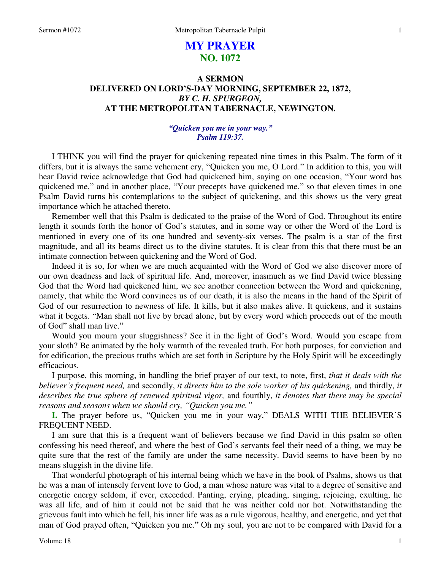### 1

# **MY PRAYER NO. 1072**

## **A SERMON DELIVERED ON LORD'S-DAY MORNING, SEPTEMBER 22, 1872,**  *BY C. H. SPURGEON,*  **AT THE METROPOLITAN TABERNACLE, NEWINGTON.**

### *"Quicken you me in your way." Psalm 119:37.*

I THINK you will find the prayer for quickening repeated nine times in this Psalm. The form of it differs, but it is always the same vehement cry, "Quicken you me, O Lord." In addition to this, you will hear David twice acknowledge that God had quickened him, saying on one occasion, "Your word has quickened me," and in another place, "Your precepts have quickened me," so that eleven times in one Psalm David turns his contemplations to the subject of quickening, and this shows us the very great importance which he attached thereto.

Remember well that this Psalm is dedicated to the praise of the Word of God. Throughout its entire length it sounds forth the honor of God's statutes, and in some way or other the Word of the Lord is mentioned in every one of its one hundred and seventy-six verses. The psalm is a star of the first magnitude, and all its beams direct us to the divine statutes. It is clear from this that there must be an intimate connection between quickening and the Word of God.

Indeed it is so, for when we are much acquainted with the Word of God we also discover more of our own deadness and lack of spiritual life. And, moreover, inasmuch as we find David twice blessing God that the Word had quickened him, we see another connection between the Word and quickening, namely, that while the Word convinces us of our death, it is also the means in the hand of the Spirit of God of our resurrection to newness of life. It kills, but it also makes alive. It quickens, and it sustains what it begets. "Man shall not live by bread alone, but by every word which proceeds out of the mouth of God" shall man live."

Would you mourn your sluggishness? See it in the light of God's Word. Would you escape from your sloth? Be animated by the holy warmth of the revealed truth. For both purposes, for conviction and for edification, the precious truths which are set forth in Scripture by the Holy Spirit will be exceedingly efficacious.

I purpose, this morning, in handling the brief prayer of our text, to note, first, *that it deals with the believer's frequent need,* and secondly, *it directs him to the sole worker of his quickening,* and thirdly, *it describes the true sphere of renewed spiritual vigor,* and fourthly, *it denotes that there may be special reasons and seasons when we should cry, "Quicken you me."* 

**I.** The prayer before us, "Quicken you me in your way," DEALS WITH THE BELIEVER'S FREQUENT NEED.

I am sure that this is a frequent want of believers because we find David in this psalm so often confessing his need thereof, and where the best of God's servants feel their need of a thing, we may be quite sure that the rest of the family are under the same necessity. David seems to have been by no means sluggish in the divine life.

That wonderful photograph of his internal being which we have in the book of Psalms, shows us that he was a man of intensely fervent love to God, a man whose nature was vital to a degree of sensitive and energetic energy seldom, if ever, exceeded. Panting, crying, pleading, singing, rejoicing, exulting, he was all life, and of him it could not be said that he was neither cold nor hot. Notwithstanding the grievous fault into which he fell, his inner life was as a rule vigorous, healthy, and energetic, and yet that man of God prayed often, "Quicken you me." Oh my soul, you are not to be compared with David for a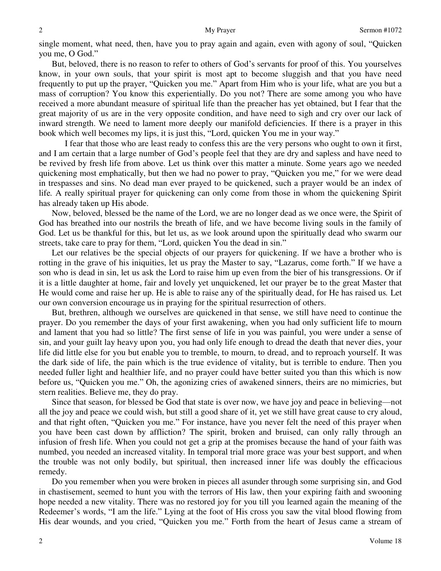single moment, what need, then, have you to pray again and again, even with agony of soul, "Quicken you me, O God."

But, beloved, there is no reason to refer to others of God's servants for proof of this. You yourselves know, in your own souls, that your spirit is most apt to become sluggish and that you have need frequently to put up the prayer, "Quicken you me." Apart from Him who is your life, what are you but a mass of corruption? You know this experientially. Do you not? There are some among you who have received a more abundant measure of spiritual life than the preacher has yet obtained, but I fear that the great majority of us are in the very opposite condition, and have need to sigh and cry over our lack of inward strength. We need to lament more deeply our manifold deficiencies. If there is a prayer in this book which well becomes my lips, it is just this, "Lord, quicken You me in your way."

 I fear that those who are least ready to confess this are the very persons who ought to own it first, and I am certain that a large number of God's people feel that they are dry and sapless and have need to be revived by fresh life from above. Let us think over this matter a minute. Some years ago we needed quickening most emphatically, but then we had no power to pray, "Quicken you me," for we were dead in trespasses and sins. No dead man ever prayed to be quickened, such a prayer would be an index of life*.* A really spiritual prayer for quickening can only come from those in whom the quickening Spirit has already taken up His abode.

Now, beloved, blessed be the name of the Lord, we are no longer dead as we once were, the Spirit of God has breathed into our nostrils the breath of life, and we have become living souls in the family of God. Let us be thankful for this, but let us, as we look around upon the spiritually dead who swarm our streets, take care to pray for them, "Lord, quicken You the dead in sin."

Let our relatives be the special objects of our prayers for quickening. If we have a brother who is rotting in the grave of his iniquities, let us pray the Master to say, "Lazarus, come forth." If we have a son who is dead in sin, let us ask the Lord to raise him up even from the bier of his transgressions. Or if it is a little daughter at home, fair and lovely yet unquickened, let our prayer be to the great Master that He would come and raise her up. He is able to raise any of the spiritually dead, for He has raised us*.* Let our own conversion encourage us in praying for the spiritual resurrection of others.

But, brethren, although we ourselves are quickened in that sense, we still have need to continue the prayer. Do you remember the days of your first awakening, when you had only sufficient life to mourn and lament that you had so little? The first sense of life in you was painful, you were under a sense of sin, and your guilt lay heavy upon you, you had only life enough to dread the death that never dies, your life did little else for you but enable you to tremble, to mourn, to dread, and to reproach yourself. It was the dark side of life, the pain which is the true evidence of vitality, but is terrible to endure. Then you needed fuller light and healthier life, and no prayer could have better suited you than this which is now before us, "Quicken you me." Oh, the agonizing cries of awakened sinners, theirs are no mimicries, but stern realities. Believe me, they do pray.

Since that season, for blessed be God that state is over now, we have joy and peace in believing—not all the joy and peace we could wish, but still a good share of it, yet we still have great cause to cry aloud, and that right often, "Quicken you me." For instance, have you never felt the need of this prayer when you have been cast down by affliction? The spirit, broken and bruised, can only rally through an infusion of fresh life. When you could not get a grip at the promises because the hand of your faith was numbed, you needed an increased vitality. In temporal trial more grace was your best support, and when the trouble was not only bodily, but spiritual, then increased inner life was doubly the efficacious remedy.

Do you remember when you were broken in pieces all asunder through some surprising sin, and God in chastisement, seemed to hunt you with the terrors of His law, then your expiring faith and swooning hope needed a new vitality. There was no restored joy for you till you learned again the meaning of the Redeemer's words, "I am the life." Lying at the foot of His cross you saw the vital blood flowing from His dear wounds, and you cried, "Quicken you me." Forth from the heart of Jesus came a stream of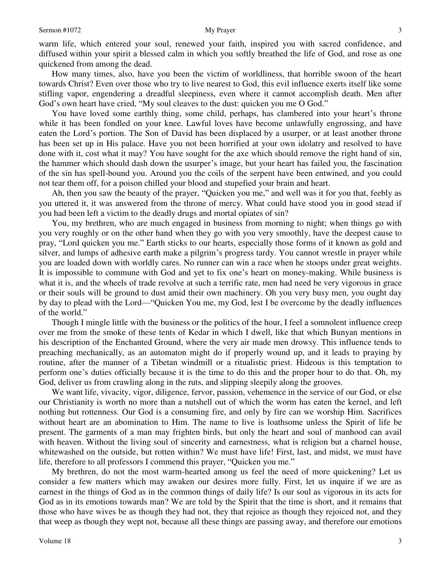warm life, which entered your soul, renewed your faith, inspired you with sacred confidence, and diffused within your spirit a blessed calm in which you softly breathed the life of God, and rose as one quickened from among the dead.

How many times, also, have you been the victim of worldliness, that horrible swoon of the heart towards Christ? Even over those who try to live nearest to God, this evil influence exerts itself like some stifling vapor, engendering a dreadful sleepiness, even where it cannot accomplish death. Men after God's own heart have cried, "My soul cleaves to the dust: quicken you me O God."

You have loved some earthly thing, some child, perhaps, has clambered into your heart's throne while it has been fondled on your knee. Lawful loves have become unlawfully engrossing, and have eaten the Lord's portion. The Son of David has been displaced by a usurper, or at least another throne has been set up in His palace. Have you not been horrified at your own idolatry and resolved to have done with it, cost what it may? You have sought for the axe which should remove the right hand of sin, the hammer which should dash down the usurper's image, but your heart has failed you, the fascination of the sin has spell-bound you. Around you the coils of the serpent have been entwined, and you could not tear them off, for a poison chilled your blood and stupefied your brain and heart.

Ah, then you saw the beauty of the prayer, "Quicken you me," and well was it for you that, feebly as you uttered it, it was answered from the throne of mercy. What could have stood you in good stead if you had been left a victim to the deadly drugs and mortal opiates of sin?

You, my brethren, who are much engaged in business from morning to night; when things go with you very roughly or on the other hand when they go with you very smoothly, have the deepest cause to pray, "Lord quicken you me." Earth sticks to our hearts, especially those forms of it known as gold and silver, and lumps of adhesive earth make a pilgrim's progress tardy. You cannot wrestle in prayer while you are loaded down with worldly cares. No runner can win a race when he stoops under great weights. It is impossible to commune with God and yet to fix one's heart on money-making. While business is what it is, and the wheels of trade revolve at such a terrific rate, men had need be very vigorous in grace or their souls will be ground to dust amid their own machinery. Oh you very busy men, you ought day by day to plead with the Lord—"Quicken You me, my God, lest I be overcome by the deadly influences of the world."

Though I mingle little with the business or the politics of the hour, I feel a somnolent influence creep over me from the smoke of these tents of Kedar in which I dwell, like that which Bunyan mentions in his description of the Enchanted Ground, where the very air made men drowsy. This influence tends to preaching mechanically, as an automaton might do if properly wound up, and it leads to praying by routine, after the manner of a Tibetan windmill or a ritualistic priest. Hideous is this temptation to perform one's duties officially because it is the time to do this and the proper hour to do that. Oh, my God, deliver us from crawling along in the ruts, and slipping sleepily along the grooves.

We want life, vivacity, vigor, diligence, fervor, passion, vehemence in the service of our God, or else our Christianity is worth no more than a nutshell out of which the worm has eaten the kernel, and left nothing but rottenness. Our God is a consuming fire, and only by fire can we worship Him. Sacrifices without heart are an abomination to Him. The name to live is loathsome unless the Spirit of life be present. The garments of a man may frighten birds, but only the heart and soul of manhood can avail with heaven. Without the living soul of sincerity and earnestness, what is religion but a charnel house, whitewashed on the outside, but rotten within? We must have life! First, last, and midst, we must have life, therefore to all professors I commend this prayer, "Quicken you me."

My brethren, do not the most warm-hearted among us feel the need of more quickening? Let us consider a few matters which may awaken our desires more fully. First, let us inquire if we are as earnest in the things of God as in the common things of daily life? Is our soul as vigorous in its acts for God as in its emotions towards man? We are told by the Spirit that the time is short, and it remains that those who have wives be as though they had not, they that rejoice as though they rejoiced not, and they that weep as though they wept not, because all these things are passing away, and therefore our emotions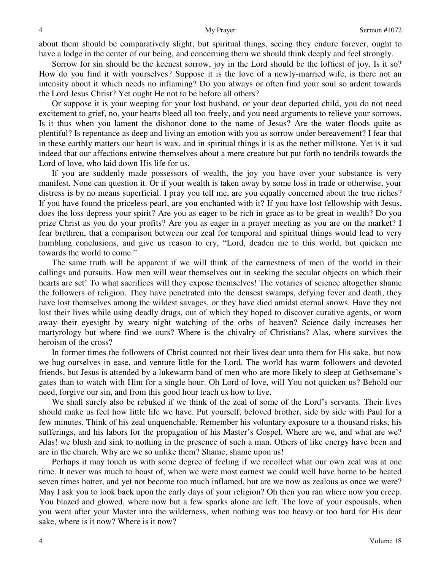about them should be comparatively slight, but spiritual things, seeing they endure forever, ought to have a lodge in the center of our being, and concerning them we should think deeply and feel strongly.

Sorrow for sin should be the keenest sorrow, joy in the Lord should be the loftiest of joy. Is it so? How do you find it with yourselves? Suppose it is the love of a newly-married wife, is there not an intensity about it which needs no inflaming? Do you always or often find your soul so ardent towards the Lord Jesus Christ? Yet ought He not to be before all others?

Or suppose it is your weeping for your lost husband, or your dear departed child, you do not need excitement to grief, no, your hearts bleed all too freely, and you need arguments to relieve your sorrows. Is it thus when you lament the dishonor done to the name of Jesus? Are the water floods quite as plentiful? Is repentance as deep and living an emotion with you as sorrow under bereavement? I fear that in these earthly matters our heart is wax, and in spiritual things it is as the nether millstone. Yet is it sad indeed that our affections entwine themselves about a mere creature but put forth no tendrils towards the Lord of love, who laid down His life for us.

If you are suddenly made possessors of wealth, the joy you have over your substance is very manifest. None can question it. Or if your wealth is taken away by some loss in trade or otherwise, your distress is by no means superficial. I pray you tell me, are you equally concerned about the true riches? If you have found the priceless pearl, are you enchanted with it? If you have lost fellowship with Jesus, does the loss depress your spirit? Are you as eager to be rich in grace as to be great in wealth? Do you prize Christ as you do your profits? Are you as eager in a prayer meeting as you are on the market? I fear brethren, that a comparison between our zeal for temporal and spiritual things would lead to very humbling conclusions, and give us reason to cry, "Lord, deaden me to this world, but quicken me towards the world to come."

The same truth will be apparent if we will think of the earnestness of men of the world in their callings and pursuits. How men will wear themselves out in seeking the secular objects on which their hearts are set! To what sacrifices will they expose themselves! The votaries of science altogether shame the followers of religion. They have penetrated into the densest swamps, defying fever and death, they have lost themselves among the wildest savages, or they have died amidst eternal snows. Have they not lost their lives while using deadly drugs, out of which they hoped to discover curative agents, or worn away their eyesight by weary night watching of the orbs of heaven? Science daily increases her martyrology but where find we ours? Where is the chivalry of Christians? Alas, where survives the heroism of the cross?

In former times the followers of Christ counted not their lives dear unto them for His sake, but now we hug ourselves in ease, and venture little for the Lord. The world has warm followers and devoted friends, but Jesus is attended by a lukewarm band of men who are more likely to sleep at Gethsemane's gates than to watch with Him for a single hour. Oh Lord of love, will You not quicken us? Behold our need, forgive our sin, and from this good hour teach us how to live.

We shall surely also be rebuked if we think of the zeal of some of the Lord's servants. Their lives should make us feel how little life we have. Put yourself, beloved brother, side by side with Paul for a few minutes. Think of his zeal unquenchable. Remember his voluntary exposure to a thousand risks, his sufferings, and his labors for the propagation of his Master's Gospel. Where are we, and what are we? Alas! we blush and sink to nothing in the presence of such a man. Others of like energy have been and are in the church. Why are we so unlike them? Shame, shame upon us!

Perhaps it may touch us with some degree of feeling if we recollect what our own zeal was at one time. It never was much to boast of, when we were most earnest we could well have borne to be heated seven times hotter, and yet not become too much inflamed, but are we now as zealous as once we were? May I ask you to look back upon the early days of your religion? Oh then you ran where now you creep. You blazed and glowed, where now but a few sparks alone are left. The love of your espousals, when you went after your Master into the wilderness, when nothing was too heavy or too hard for His dear sake, where is it now? Where is it now?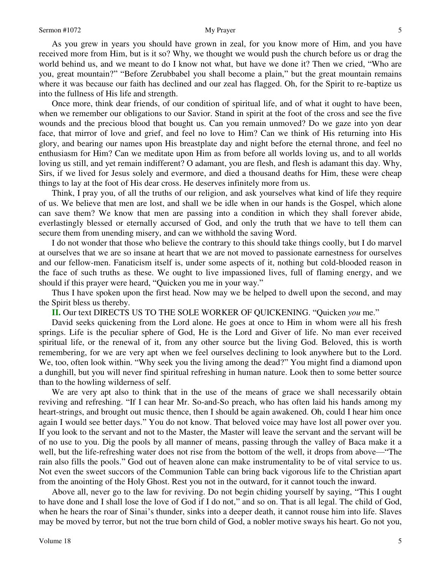As you grew in years you should have grown in zeal, for you know more of Him, and you have received more from Him, but is it so? Why, we thought we would push the church before us or drag the world behind us, and we meant to do I know not what, but have we done it? Then we cried, "Who are you, great mountain?" "Before Zerubbabel you shall become a plain," but the great mountain remains where it was because our faith has declined and our zeal has flagged. Oh, for the Spirit to re-baptize us into the fullness of His life and strength.

Once more, think dear friends, of our condition of spiritual life, and of what it ought to have been, when we remember our obligations to our Savior. Stand in spirit at the foot of the cross and see the five wounds and the precious blood that bought us. Can you remain unmoved? Do we gaze into yon dear face, that mirror of love and grief, and feel no love to Him? Can we think of His returning into His glory, and bearing our names upon His breastplate day and night before the eternal throne, and feel no enthusiasm for Him? Can we meditate upon Him as from before all worlds loving us, and to all worlds loving us still, and yet remain indifferent? O adamant, you are flesh, and flesh is adamant this day. Why, Sirs, if we lived for Jesus solely and evermore, and died a thousand deaths for Him, these were cheap things to lay at the foot of His dear cross. He deserves infinitely more from us.

Think, I pray you, of all the truths of our religion, and ask yourselves what kind of life they require of us. We believe that men are lost, and shall we be idle when in our hands is the Gospel, which alone can save them? We know that men are passing into a condition in which they shall forever abide, everlastingly blessed or eternally accursed of God, and only the truth that we have to tell them can secure them from unending misery, and can we withhold the saving Word.

I do not wonder that those who believe the contrary to this should take things coolly, but I do marvel at ourselves that we are so insane at heart that we are not moved to passionate earnestness for ourselves and our fellow-men. Fanaticism itself is, under some aspects of it, nothing but cold-blooded reason in the face of such truths as these. We ought to live impassioned lives, full of flaming energy, and we should if this prayer were heard, "Quicken you me in your way."

Thus I have spoken upon the first head. Now may we be helped to dwell upon the second, and may the Spirit bless us thereby.

**II.** Our text DIRECTS US TO THE SOLE WORKER OF QUICKENING. "Quicken *you* me."

David seeks quickening from the Lord alone. He goes at once to Him in whom were all his fresh springs. Life is the peculiar sphere of God, He is the Lord and Giver of life. No man ever received spiritual life, or the renewal of it, from any other source but the living God. Beloved, this is worth remembering, for we are very apt when we feel ourselves declining to look anywhere but to the Lord. We, too, often look within. "Why seek you the living among the dead?" You might find a diamond upon a dunghill, but you will never find spiritual refreshing in human nature. Look then to some better source than to the howling wilderness of self.

We are very apt also to think that in the use of the means of grace we shall necessarily obtain reviving and refreshing. "If I can hear Mr. So-and-So preach, who has often laid his hands among my heart-strings, and brought out music thence, then I should be again awakened. Oh, could I hear him once again I would see better days." You do not know. That beloved voice may have lost all power over you. If you look to the servant and not to the Master, the Master will leave the servant and the servant will be of no use to you. Dig the pools by all manner of means, passing through the valley of Baca make it a well, but the life-refreshing water does not rise from the bottom of the well, it drops from above—"The rain also fills the pools." God out of heaven alone can make instrumentality to be of vital service to us. Not even the sweet succors of the Communion Table can bring back vigorous life to the Christian apart from the anointing of the Holy Ghost. Rest you not in the outward, for it cannot touch the inward.

Above all, never go to the law for reviving. Do not begin chiding yourself by saying, "This I ought to have done and I shall lose the love of God if I do not," and so on. That is all legal. The child of God, when he hears the roar of Sinai's thunder, sinks into a deeper death, it cannot rouse him into life. Slaves may be moved by terror, but not the true born child of God, a nobler motive sways his heart. Go not you,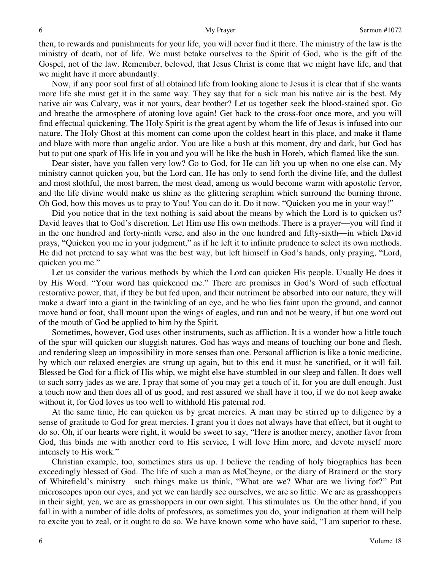then, to rewards and punishments for your life, you will never find it there. The ministry of the law is the ministry of death, not of life. We must betake ourselves to the Spirit of God, who is the gift of the Gospel, not of the law. Remember, beloved, that Jesus Christ is come that we might have life, and that we might have it more abundantly.

Now, if any poor soul first of all obtained life from looking alone to Jesus it is clear that if she wants more life she must get it in the same way. They say that for a sick man his native air is the best. My native air was Calvary, was it not yours, dear brother? Let us together seek the blood-stained spot. Go and breathe the atmosphere of atoning love again! Get back to the cross-foot once more, and you will find effectual quickening. The Holy Spirit is the great agent by whom the life of Jesus is infused into our nature. The Holy Ghost at this moment can come upon the coldest heart in this place, and make it flame and blaze with more than angelic ardor. You are like a bush at this moment, dry and dark, but God has but to put one spark of His life in you and you will be like the bush in Horeb, which flamed like the sun.

Dear sister, have you fallen very low? Go to God, for He can lift you up when no one else can. My ministry cannot quicken you, but the Lord can. He has only to send forth the divine life, and the dullest and most slothful, the most barren, the most dead, among us would become warm with apostolic fervor, and the life divine would make us shine as the glittering seraphim which surround the burning throne. Oh God, how this moves us to pray to You! You can do it. Do it now. "Quicken you me in your way!"

Did you notice that in the text nothing is said about the means by which the Lord is to quicken us? David leaves that to God's discretion. Let Him use His own methods. There is a prayer—you will find it in the one hundred and forty-ninth verse, and also in the one hundred and fifty-sixth—in which David prays, "Quicken you me in your judgment," as if he left it to infinite prudence to select its own methods. He did not pretend to say what was the best way, but left himself in God's hands, only praying, "Lord, quicken you me."

Let us consider the various methods by which the Lord can quicken His people. Usually He does it by His Word. "Your word has quickened me." There are promises in God's Word of such effectual restorative power, that, if they be but fed upon, and their nutriment be absorbed into our nature, they will make a dwarf into a giant in the twinkling of an eye, and he who lies faint upon the ground, and cannot move hand or foot, shall mount upon the wings of eagles, and run and not be weary, if but one word out of the mouth of God be applied to him by the Spirit.

Sometimes, however, God uses other instruments, such as affliction. It is a wonder how a little touch of the spur will quicken our sluggish natures. God has ways and means of touching our bone and flesh, and rendering sleep an impossibility in more senses than one. Personal affliction is like a tonic medicine, by which our relaxed energies are strung up again, but to this end it must be sanctified, or it will fail. Blessed be God for a flick of His whip, we might else have stumbled in our sleep and fallen. It does well to such sorry jades as we are. I pray that some of you may get a touch of it, for you are dull enough. Just a touch now and then does all of us good, and rest assured we shall have it too, if we do not keep awake without it, for God loves us too well to withhold His paternal rod.

At the same time, He can quicken us by great mercies. A man may be stirred up to diligence by a sense of gratitude to God for great mercies. I grant you it does not always have that effect, but it ought to do so. Oh, if our hearts were right, it would be sweet to say, "Here is another mercy, another favor from God, this binds me with another cord to His service, I will love Him more, and devote myself more intensely to His work."

Christian example, too, sometimes stirs us up. I believe the reading of holy biographies has been exceedingly blessed of God. The life of such a man as McCheyne, or the diary of Brainerd or the story of Whitefield's ministry—such things make us think, "What are we? What are we living for?" Put microscopes upon our eyes, and yet we can hardly see ourselves, we are so little. We are as grasshoppers in their sight, yea, we are as grasshoppers in our own sight. This stimulates us. On the other hand, if you fall in with a number of idle dolts of professors, as sometimes you do, your indignation at them will help to excite you to zeal, or it ought to do so. We have known some who have said, "I am superior to these,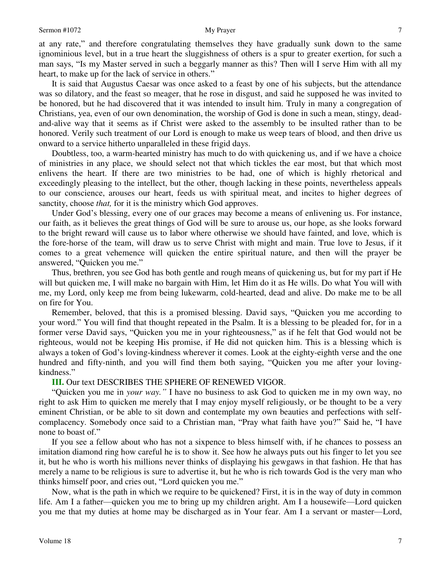at any rate," and therefore congratulating themselves they have gradually sunk down to the same ignominious level, but in a true heart the sluggishness of others is a spur to greater exertion, for such a man says, "Is my Master served in such a beggarly manner as this? Then will I serve Him with all my heart, to make up for the lack of service in others."

It is said that Augustus Caesar was once asked to a feast by one of his subjects, but the attendance was so dilatory, and the feast so meager, that he rose in disgust, and said he supposed he was invited to be honored, but he had discovered that it was intended to insult him. Truly in many a congregation of Christians, yea, even of our own denomination, the worship of God is done in such a mean, stingy, deadand-alive way that it seems as if Christ were asked to the assembly to be insulted rather than to be honored. Verily such treatment of our Lord is enough to make us weep tears of blood, and then drive us onward to a service hitherto unparalleled in these frigid days.

Doubtless, too, a warm-hearted ministry has much to do with quickening us, and if we have a choice of ministries in any place, we should select not that which tickles the ear most, but that which most enlivens the heart. If there are two ministries to be had, one of which is highly rhetorical and exceedingly pleasing to the intellect, but the other, though lacking in these points, nevertheless appeals to our conscience, arouses our heart, feeds us with spiritual meat, and incites to higher degrees of sanctity, choose *that,* for it is the ministry which God approves.

Under God's blessing, every one of our graces may become a means of enlivening us. For instance, our faith, as it believes the great things of God will be sure to arouse us, our hope, as she looks forward to the bright reward will cause us to labor where otherwise we should have fainted, and love, which is the fore-horse of the team, will draw us to serve Christ with might and main. True love to Jesus, if it comes to a great vehemence will quicken the entire spiritual nature, and then will the prayer be answered, "Quicken you me."

Thus, brethren, you see God has both gentle and rough means of quickening us, but for my part if He will but quicken me, I will make no bargain with Him, let Him do it as He wills. Do what You will with me, my Lord, only keep me from being lukewarm, cold-hearted, dead and alive. Do make me to be all on fire for You.

Remember, beloved, that this is a promised blessing. David says, "Quicken you me according to your word." You will find that thought repeated in the Psalm. It is a blessing to be pleaded for, for in a former verse David says, "Quicken you me in your righteousness," as if he felt that God would not be righteous, would not be keeping His promise, if He did not quicken him. This is a blessing which is always a token of God's loving-kindness wherever it comes. Look at the eighty-eighth verse and the one hundred and fifty-ninth, and you will find them both saying, "Quicken you me after your lovingkindness."

### **III.** Our text DESCRIBES THE SPHERE OF RENEWED VIGOR.

"Quicken you me in *your way."* I have no business to ask God to quicken me in my own way, no right to ask Him to quicken me merely that I may enjoy myself religiously, or be thought to be a very eminent Christian, or be able to sit down and contemplate my own beauties and perfections with selfcomplacency. Somebody once said to a Christian man, "Pray what faith have you?" Said he, "I have none to boast of."

If you see a fellow about who has not a sixpence to bless himself with, if he chances to possess an imitation diamond ring how careful he is to show it. See how he always puts out his finger to let you see it, but he who is worth his millions never thinks of displaying his gewgaws in that fashion. He that has merely a name to be religious is sure to advertise it, but he who is rich towards God is the very man who thinks himself poor, and cries out, "Lord quicken you me."

Now, what is the path in which we require to be quickened? First, it is in the way of duty in common life. Am I a father—quicken you me to bring up my children aright. Am I a housewife—Lord quicken you me that my duties at home may be discharged as in Your fear. Am I a servant or master—Lord,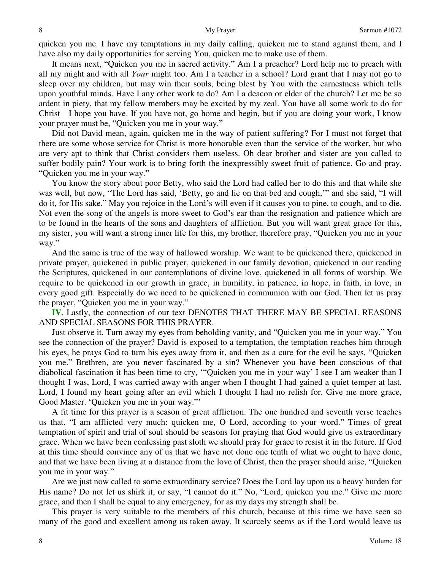quicken you me. I have my temptations in my daily calling, quicken me to stand against them, and I have also my daily opportunities for serving You, quicken me to make use of them.

It means next, "Quicken you me in sacred activity." Am I a preacher? Lord help me to preach with all my might and with all *Your* might too. Am I a teacher in a school? Lord grant that I may not go to sleep over my children, but may win their souls, being blest by You with the earnestness which tells upon youthful minds. Have I any other work to do? Am I a deacon or elder of the church? Let me be so ardent in piety, that my fellow members may be excited by my zeal. You have all some work to do for Christ—I hope you have. If you have not, go home and begin, but if you are doing your work, I know your prayer must be, "Quicken you me in your way."

Did not David mean, again, quicken me in the way of patient suffering? For I must not forget that there are some whose service for Christ is more honorable even than the service of the worker, but who are very apt to think that Christ considers them useless. Oh dear brother and sister are you called to suffer bodily pain? Your work is to bring forth the inexpressibly sweet fruit of patience. Go and pray, "Quicken you me in your way."

You know the story about poor Betty, who said the Lord had called her to do this and that while she was well, but now, "The Lord has said, 'Betty, go and lie on that bed and cough,'" and she said, "I will do it, for His sake." May you rejoice in the Lord's will even if it causes you to pine, to cough, and to die. Not even the song of the angels is more sweet to God's ear than the resignation and patience which are to be found in the hearts of the sons and daughters of affliction. But you will want great grace for this, my sister, you will want a strong inner life for this, my brother, therefore pray, "Quicken you me in your way."

And the same is true of the way of hallowed worship. We want to be quickened there, quickened in private prayer, quickened in public prayer, quickened in our family devotion, quickened in our reading the Scriptures, quickened in our contemplations of divine love, quickened in all forms of worship. We require to be quickened in our growth in grace, in humility, in patience, in hope, in faith, in love, in every good gift. Especially do we need to be quickened in communion with our God. Then let us pray the prayer, "Quicken you me in your way."

**IV.** Lastly, the connection of our text DENOTES THAT THERE MAY BE SPECIAL REASONS AND SPECIAL SEASONS FOR THIS PRAYER.

Just observe it. Turn away my eyes from beholding vanity, and "Quicken you me in your way." You see the connection of the prayer? David is exposed to a temptation, the temptation reaches him through his eyes, he prays God to turn his eyes away from it, and then as a cure for the evil he says, "Quicken you me." Brethren, are you never fascinated by a sin? Whenever you have been conscious of that diabolical fascination it has been time to cry, '"Quicken you me in your way' I see I am weaker than I thought I was, Lord, I was carried away with anger when I thought I had gained a quiet temper at last. Lord, I found my heart going after an evil which I thought I had no relish for. Give me more grace, Good Master. 'Quicken you me in your way."'

A fit time for this prayer is a season of great affliction. The one hundred and seventh verse teaches us that. "I am afflicted very much: quicken me, O Lord, according to your word." Times of great temptation of spirit and trial of soul should be seasons for praying that God would give us extraordinary grace. When we have been confessing past sloth we should pray for grace to resist it in the future. If God at this time should convince any of us that we have not done one tenth of what we ought to have done, and that we have been living at a distance from the love of Christ, then the prayer should arise, "Quicken you me in your way."

Are we just now called to some extraordinary service? Does the Lord lay upon us a heavy burden for His name? Do not let us shirk it, or say, "I cannot do it." No, "Lord, quicken you me." Give me more grace, and then I shall be equal to any emergency, for as my days my strength shall be.

This prayer is very suitable to the members of this church, because at this time we have seen so many of the good and excellent among us taken away. It scarcely seems as if the Lord would leave us